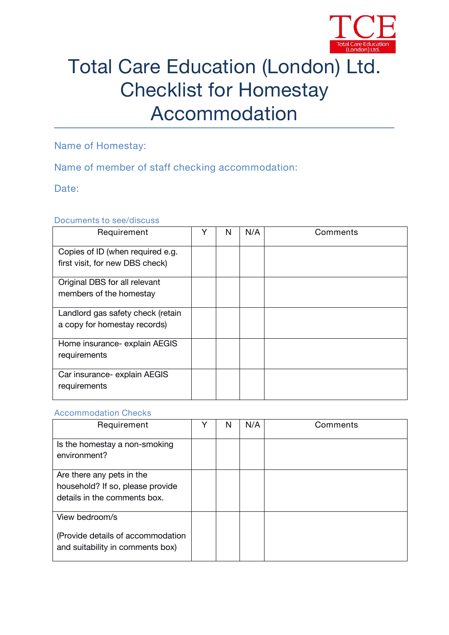

# Total Care Education (London) Ltd. Checklist for Homestay Accommodation

**Name of Homestay:**

## **Name of member of staff checking accommodation:**

**Date:**

#### **Documents to see/discuss**

| Requirement                                                         | v | N | N/A | Comments |  |
|---------------------------------------------------------------------|---|---|-----|----------|--|
| Copies of ID (when required e.g.<br>first visit, for new DBS check) |   |   |     |          |  |
| Original DBS for all relevant<br>members of the homestay            |   |   |     |          |  |
| Landlord gas safety check (retain<br>a copy for homestay records)   |   |   |     |          |  |
| Home insurance- explain AEGIS<br>requirements                       |   |   |     |          |  |
| Car insurance- explain AEGIS<br>requirements                        |   |   |     |          |  |

#### **Accommodation Checks**

| Requirement                                                                                   | N | N/A | Comments |
|-----------------------------------------------------------------------------------------------|---|-----|----------|
| Is the homestay a non-smoking<br>environment?                                                 |   |     |          |
| Are there any pets in the<br>household? If so, please provide<br>details in the comments box. |   |     |          |
| View bedroom/s<br>(Provide details of accommodation<br>and suitability in comments box)       |   |     |          |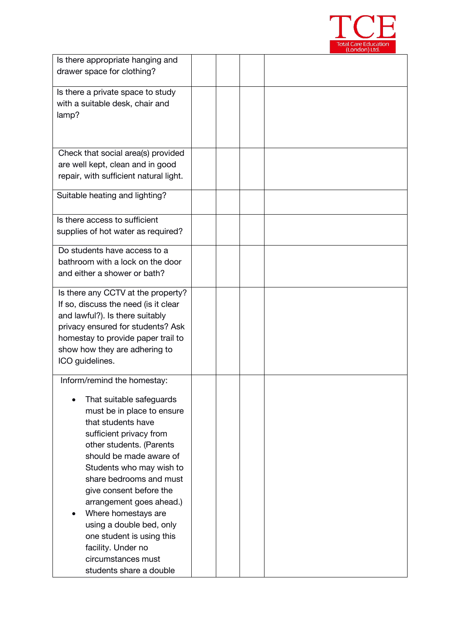

| Is there appropriate hanging and                                     |  |  |
|----------------------------------------------------------------------|--|--|
| drawer space for clothing?                                           |  |  |
| Is there a private space to study                                    |  |  |
| with a suitable desk, chair and                                      |  |  |
| lamp?                                                                |  |  |
|                                                                      |  |  |
| Check that social area(s) provided                                   |  |  |
| are well kept, clean and in good                                     |  |  |
| repair, with sufficient natural light.                               |  |  |
| Suitable heating and lighting?                                       |  |  |
| Is there access to sufficient                                        |  |  |
| supplies of hot water as required?                                   |  |  |
| Do students have access to a                                         |  |  |
| bathroom with a lock on the door<br>and either a shower or bath?     |  |  |
|                                                                      |  |  |
| Is there any CCTV at the property?                                   |  |  |
| If so, discuss the need (is it clear                                 |  |  |
| and lawful?). Is there suitably<br>privacy ensured for students? Ask |  |  |
| homestay to provide paper trail to                                   |  |  |
| show how they are adhering to                                        |  |  |
| ICO guidelines.                                                      |  |  |
| Inform/remind the homestay:                                          |  |  |
| That suitable safeguards                                             |  |  |
| must be in place to ensure                                           |  |  |
| that students have                                                   |  |  |
| sufficient privacy from                                              |  |  |
| other students. (Parents<br>should be made aware of                  |  |  |
| Students who may wish to                                             |  |  |
| share bedrooms and must                                              |  |  |
| give consent before the                                              |  |  |
| arrangement goes ahead.)                                             |  |  |
| Where homestays are                                                  |  |  |
| using a double bed, only<br>one student is using this                |  |  |
| facility. Under no                                                   |  |  |
| circumstances must                                                   |  |  |
| students share a double                                              |  |  |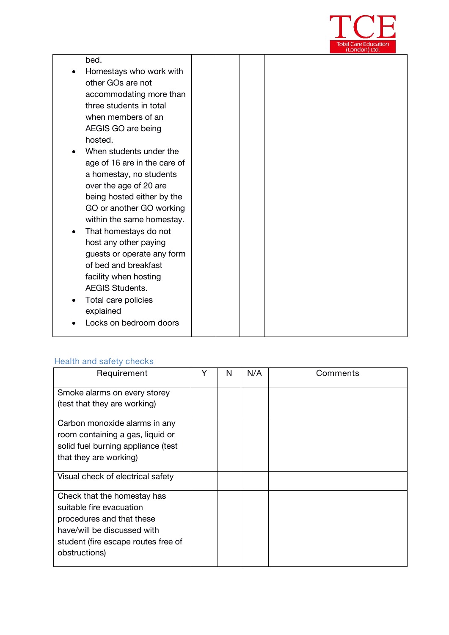

|           | bed.                         |  |  |  |  |
|-----------|------------------------------|--|--|--|--|
|           | Homestays who work with      |  |  |  |  |
|           | other GOs are not            |  |  |  |  |
|           | accommodating more than      |  |  |  |  |
|           | three students in total      |  |  |  |  |
|           | when members of an           |  |  |  |  |
|           | AEGIS GO are being           |  |  |  |  |
|           | hosted.                      |  |  |  |  |
|           | When students under the      |  |  |  |  |
|           | age of 16 are in the care of |  |  |  |  |
|           | a homestay, no students      |  |  |  |  |
|           | over the age of 20 are       |  |  |  |  |
|           | being hosted either by the   |  |  |  |  |
|           | GO or another GO working     |  |  |  |  |
|           | within the same homestay.    |  |  |  |  |
| $\bullet$ | That homestays do not        |  |  |  |  |
|           | host any other paying        |  |  |  |  |
|           | guests or operate any form   |  |  |  |  |
|           | of bed and breakfast         |  |  |  |  |
|           | facility when hosting        |  |  |  |  |
|           | <b>AEGIS Students.</b>       |  |  |  |  |
|           | Total care policies          |  |  |  |  |
|           | explained                    |  |  |  |  |
|           | Locks on bedroom doors       |  |  |  |  |
|           |                              |  |  |  |  |

# **Health and safety checks**

| Requirement                                                                                                                                                                 | Υ | N | N/A | Comments |
|-----------------------------------------------------------------------------------------------------------------------------------------------------------------------------|---|---|-----|----------|
| Smoke alarms on every storey<br>(test that they are working)                                                                                                                |   |   |     |          |
| Carbon monoxide alarms in any<br>room containing a gas, liquid or<br>solid fuel burning appliance (test<br>that they are working)                                           |   |   |     |          |
| Visual check of electrical safety                                                                                                                                           |   |   |     |          |
| Check that the homestay has<br>suitable fire evacuation<br>procedures and that these<br>have/will be discussed with<br>student (fire escape routes free of<br>obstructions) |   |   |     |          |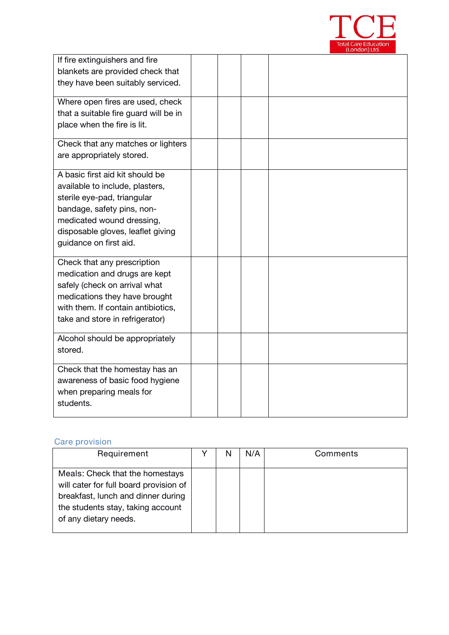

| If fire extinguishers and fire<br>blankets are provided check that<br>they have been suitably serviced.                                                                                                                     |  |  |  |
|-----------------------------------------------------------------------------------------------------------------------------------------------------------------------------------------------------------------------------|--|--|--|
| Where open fires are used, check<br>that a suitable fire guard will be in<br>place when the fire is lit.                                                                                                                    |  |  |  |
| Check that any matches or lighters<br>are appropriately stored.                                                                                                                                                             |  |  |  |
| A basic first aid kit should be<br>available to include, plasters,<br>sterile eye-pad, triangular<br>bandage, safety pins, non-<br>medicated wound dressing,<br>disposable gloves, leaflet giving<br>guidance on first aid. |  |  |  |
| Check that any prescription<br>medication and drugs are kept<br>safely (check on arrival what<br>medications they have brought<br>with them. If contain antibiotics,<br>take and store in refrigerator)                     |  |  |  |
| Alcohol should be appropriately<br>stored.                                                                                                                                                                                  |  |  |  |
| Check that the homestay has an<br>awareness of basic food hygiene<br>when preparing meals for<br>students.                                                                                                                  |  |  |  |

#### **Care provision**

| Requirement                                                                                                                                                                   | N | N/A | Comments |  |
|-------------------------------------------------------------------------------------------------------------------------------------------------------------------------------|---|-----|----------|--|
| Meals: Check that the homestays<br>will cater for full board provision of<br>breakfast, lunch and dinner during<br>the students stay, taking account<br>of any dietary needs. |   |     |          |  |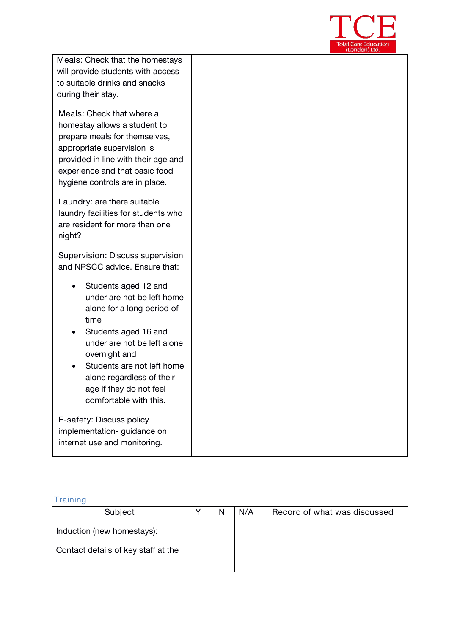

|                                                                                                                                                                                                                                                                                                                                                        |  | , בטו וטטו ו $\mu$ בגע |
|--------------------------------------------------------------------------------------------------------------------------------------------------------------------------------------------------------------------------------------------------------------------------------------------------------------------------------------------------------|--|------------------------|
| Meals: Check that the homestays<br>will provide students with access<br>to suitable drinks and snacks<br>during their stay.                                                                                                                                                                                                                            |  |                        |
| Meals: Check that where a<br>homestay allows a student to<br>prepare meals for themselves,<br>appropriate supervision is<br>provided in line with their age and<br>experience and that basic food<br>hygiene controls are in place.                                                                                                                    |  |                        |
| Laundry: are there suitable<br>laundry facilities for students who<br>are resident for more than one<br>night?                                                                                                                                                                                                                                         |  |                        |
| Supervision: Discuss supervision<br>and NPSCC advice. Ensure that:<br>Students aged 12 and<br>under are not be left home<br>alone for a long period of<br>time<br>Students aged 16 and<br>under are not be left alone<br>overnight and<br>Students are not left home<br>alone regardless of their<br>age if they do not feel<br>comfortable with this. |  |                        |
| E-safety: Discuss policy<br>implementation-guidance on<br>internet use and monitoring.                                                                                                                                                                                                                                                                 |  |                        |

# **Training**

| Subject                             | N | N/A | Record of what was discussed |
|-------------------------------------|---|-----|------------------------------|
| Induction (new homestays):          |   |     |                              |
| Contact details of key staff at the |   |     |                              |